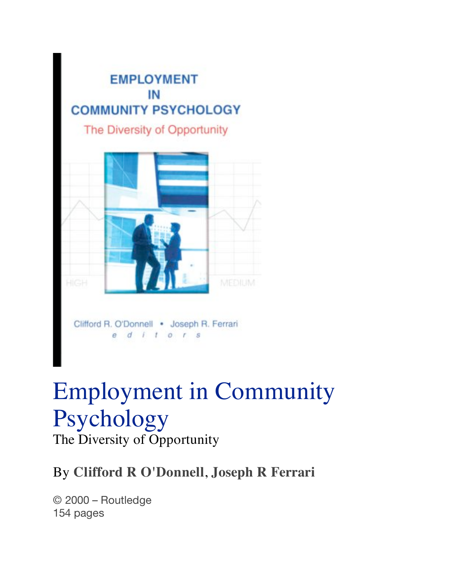

# Employment in Community Psychology The Diversity of Opportunity

#### By **Clifford R O'Donnell**, **Joseph R Ferrari**

© 2000 – Routledge 154 pages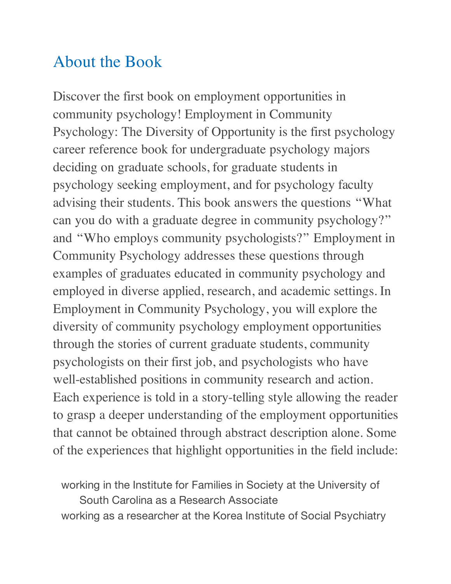### About the Book

Discover the first book on employment opportunities in community psychology! Employment in Community Psychology: The Diversity of Opportunity is the first psychology career reference book for undergraduate psychology majors deciding on graduate schools, for graduate students in psychology seeking employment, and for psychology faculty advising their students. This book answers the questions "What can you do with a graduate degree in community psychology?" and "Who employs community psychologists?" Employment in Community Psychology addresses these questions through examples of graduates educated in community psychology and employed in diverse applied, research, and academic settings. In Employment in Community Psychology, you will explore the diversity of community psychology employment opportunities through the stories of current graduate students, community psychologists on their first job, and psychologists who have well-established positions in community research and action. Each experience is told in a story-telling style allowing the reader to grasp a deeper understanding of the employment opportunities that cannot be obtained through abstract description alone. Some of the experiences that highlight opportunities in the field include:

working in the Institute for Families in Society at the University of South Carolina as a Research Associate working as a researcher at the Korea Institute of Social Psychiatry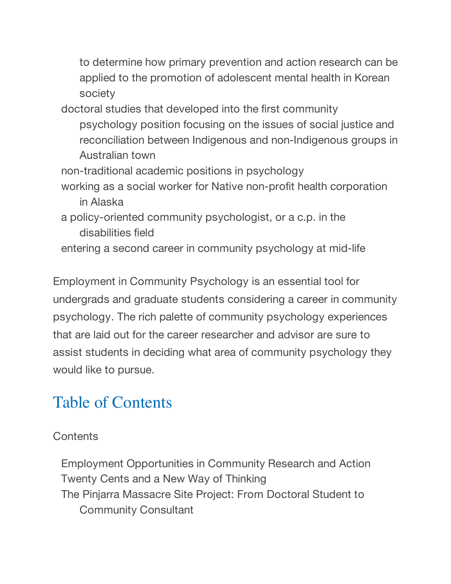to determine how primary prevention and action research can be applied to the promotion of adolescent mental health in Korean society

doctoral studies that developed into the first community psychology position focusing on the issues of social justice and reconciliation between Indigenous and non-Indigenous groups in Australian town

- non-traditional academic positions in psychology
- working as a social worker for Native non-profit health corporation in Alaska
- a policy-oriented community psychologist, or a c.p. in the disabilities field
- entering a second career in community psychology at mid-life

Employment in Community Psychology is an essential tool for undergrads and graduate students considering a career in community psychology. The rich palette of community psychology experiences that are laid out for the career researcher and advisor are sure to assist students in deciding what area of community psychology they would like to pursue.

## Table of Contents

#### **Contents**

Employment Opportunities in Community Research and Action Twenty Cents and a New Way of Thinking The Pinjarra Massacre Site Project: From Doctoral Student to Community Consultant